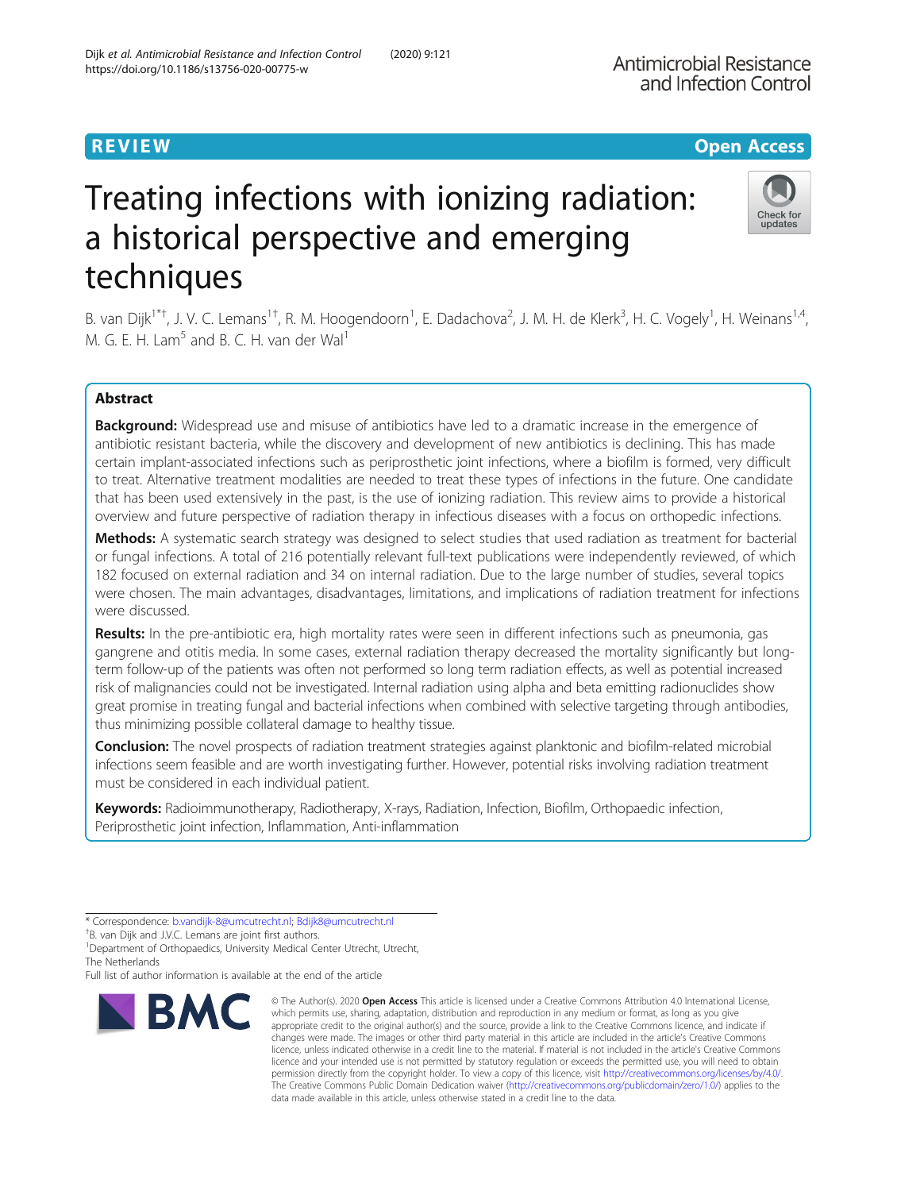## **REVIEW CONTROL** CONTROL CONTROL CONTROL CONTROL CONTROL CONTROL CONTROL CONTROL CONTROL CONTROL CONTROL CONTROL

# Treating infections with ionizing radiation: a historical perspective and emerging techniques

B. van Dijk<sup>1\*†</sup>, J. V. C. Lemans<sup>1†</sup>, R. M. Hoogendoorn<sup>1</sup>, E. Dadachova<sup>2</sup>, J. M. H. de Klerk<sup>3</sup>, H. C. Vogely<sup>1</sup>, H. Weinans<sup>1,4</sup>, M. G. E. H. Lam<sup>5</sup> and B. C. H. van der Wal<sup>1</sup>

## Abstract

Background: Widespread use and misuse of antibiotics have led to a dramatic increase in the emergence of antibiotic resistant bacteria, while the discovery and development of new antibiotics is declining. This has made certain implant-associated infections such as periprosthetic joint infections, where a biofilm is formed, very difficult to treat. Alternative treatment modalities are needed to treat these types of infections in the future. One candidate that has been used extensively in the past, is the use of ionizing radiation. This review aims to provide a historical overview and future perspective of radiation therapy in infectious diseases with a focus on orthopedic infections.

Methods: A systematic search strategy was designed to select studies that used radiation as treatment for bacterial or fungal infections. A total of 216 potentially relevant full-text publications were independently reviewed, of which 182 focused on external radiation and 34 on internal radiation. Due to the large number of studies, several topics were chosen. The main advantages, disadvantages, limitations, and implications of radiation treatment for infections were discussed.

Results: In the pre-antibiotic era, high mortality rates were seen in different infections such as pneumonia, gas gangrene and otitis media. In some cases, external radiation therapy decreased the mortality significantly but longterm follow-up of the patients was often not performed so long term radiation effects, as well as potential increased risk of malignancies could not be investigated. Internal radiation using alpha and beta emitting radionuclides show great promise in treating fungal and bacterial infections when combined with selective targeting through antibodies, thus minimizing possible collateral damage to healthy tissue.

Conclusion: The novel prospects of radiation treatment strategies against planktonic and biofilm-related microbial infections seem feasible and are worth investigating further. However, potential risks involving radiation treatment must be considered in each individual patient.

Keywords: Radioimmunotherapy, Radiotherapy, X-rays, Radiation, Infection, Biofilm, Orthopaedic infection, Periprosthetic joint infection, Inflammation, Anti-inflammation



<sup>©</sup> The Author(s), 2020 **Open Access** This article is licensed under a Creative Commons Attribution 4.0 International License, which permits use, sharing, adaptation, distribution and reproduction in any medium or format, as long as you give appropriate credit to the original author(s) and the source, provide a link to the Creative Commons licence, and indicate if changes were made. The images or other third party material in this article are included in the article's Creative Commons licence, unless indicated otherwise in a credit line to the material. If material is not included in the article's Creative Commons licence and your intended use is not permitted by statutory regulation or exceeds the permitted use, you will need to obtain permission directly from the copyright holder. To view a copy of this licence, visit [http://creativecommons.org/licenses/by/4.0/.](http://creativecommons.org/licenses/by/4.0/) The Creative Commons Public Domain Dedication waiver [\(http://creativecommons.org/publicdomain/zero/1.0/](http://creativecommons.org/publicdomain/zero/1.0/)) applies to the data made available in this article, unless otherwise stated in a credit line to the data.





undates

<sup>\*</sup> Correspondence: [b.vandijk-8@umcutrecht.nl;](mailto:b.vandijk-8@umcutrecht.nl) [Bdijk8@umcutrecht.nl](mailto:Bdijk8@umcutrecht.nl) †

<sup>&</sup>lt;sup>†</sup>B. van Dijk and J.V.C. Lemans are joint first authors.

<sup>&</sup>lt;sup>1</sup>Department of Orthopaedics, University Medical Center Utrecht, Utrecht, The Netherlands

Full list of author information is available at the end of the article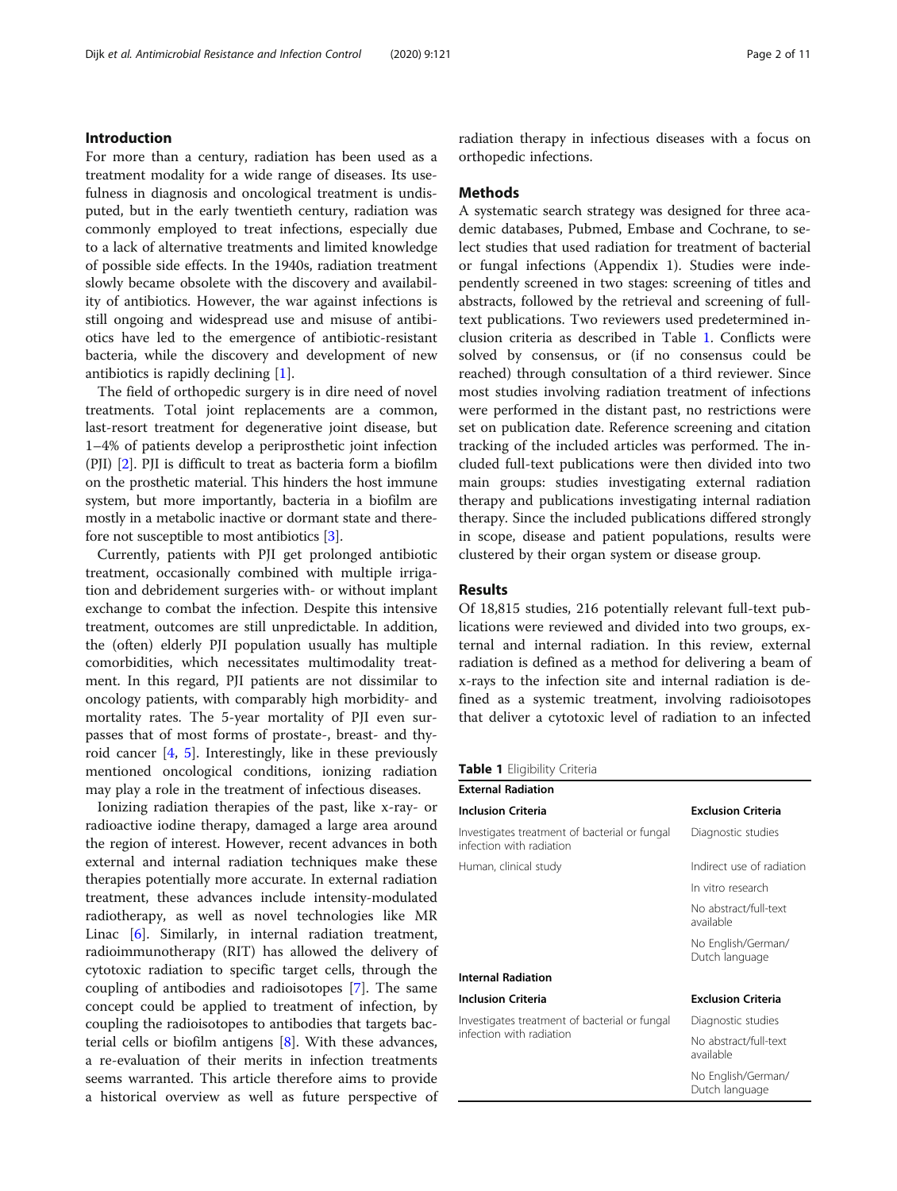For more than a century, radiation has been used as a treatment modality for a wide range of diseases. Its usefulness in diagnosis and oncological treatment is undisputed, but in the early twentieth century, radiation was commonly employed to treat infections, especially due to a lack of alternative treatments and limited knowledge of possible side effects. In the 1940s, radiation treatment slowly became obsolete with the discovery and availability of antibiotics. However, the war against infections is still ongoing and widespread use and misuse of antibiotics have led to the emergence of antibiotic-resistant bacteria, while the discovery and development of new antibiotics is rapidly declining [\[1](#page-9-0)].

The field of orthopedic surgery is in dire need of novel treatments. Total joint replacements are a common, last-resort treatment for degenerative joint disease, but 1–4% of patients develop a periprosthetic joint infection (PJI) [[2\]](#page-9-0). PJI is difficult to treat as bacteria form a biofilm on the prosthetic material. This hinders the host immune system, but more importantly, bacteria in a biofilm are mostly in a metabolic inactive or dormant state and therefore not susceptible to most antibiotics [[3\]](#page-9-0).

Currently, patients with PJI get prolonged antibiotic treatment, occasionally combined with multiple irrigation and debridement surgeries with- or without implant exchange to combat the infection. Despite this intensive treatment, outcomes are still unpredictable. In addition, the (often) elderly PJI population usually has multiple comorbidities, which necessitates multimodality treatment. In this regard, PJI patients are not dissimilar to oncology patients, with comparably high morbidity- and mortality rates. The 5-year mortality of PJI even surpasses that of most forms of prostate-, breast- and thyroid cancer  $[4, 5]$  $[4, 5]$  $[4, 5]$  $[4, 5]$ . Interestingly, like in these previously mentioned oncological conditions, ionizing radiation may play a role in the treatment of infectious diseases.

Ionizing radiation therapies of the past, like x-ray- or radioactive iodine therapy, damaged a large area around the region of interest. However, recent advances in both external and internal radiation techniques make these therapies potentially more accurate. In external radiation treatment, these advances include intensity-modulated radiotherapy, as well as novel technologies like MR Linac [\[6](#page-9-0)]. Similarly, in internal radiation treatment, radioimmunotherapy (RIT) has allowed the delivery of cytotoxic radiation to specific target cells, through the coupling of antibodies and radioisotopes [[7\]](#page-9-0). The same concept could be applied to treatment of infection, by coupling the radioisotopes to antibodies that targets bacterial cells or biofilm antigens [[8](#page-9-0)]. With these advances, a re-evaluation of their merits in infection treatments seems warranted. This article therefore aims to provide a historical overview as well as future perspective of radiation therapy in infectious diseases with a focus on orthopedic infections.

#### Methods

A systematic search strategy was designed for three academic databases, Pubmed, Embase and Cochrane, to select studies that used radiation for treatment of bacterial or fungal infections (Appendix 1). Studies were independently screened in two stages: screening of titles and abstracts, followed by the retrieval and screening of fulltext publications. Two reviewers used predetermined inclusion criteria as described in Table 1. Conflicts were solved by consensus, or (if no consensus could be reached) through consultation of a third reviewer. Since most studies involving radiation treatment of infections were performed in the distant past, no restrictions were set on publication date. Reference screening and citation tracking of the included articles was performed. The included full-text publications were then divided into two main groups: studies investigating external radiation therapy and publications investigating internal radiation therapy. Since the included publications differed strongly in scope, disease and patient populations, results were clustered by their organ system or disease group.

#### Results

Of 18,815 studies, 216 potentially relevant full-text publications were reviewed and divided into two groups, external and internal radiation. In this review, external radiation is defined as a method for delivering a beam of x-rays to the infection site and internal radiation is defined as a systemic treatment, involving radioisotopes that deliver a cytotoxic level of radiation to an infected

|  | Table 1 Eligibility Criteria |  |
|--|------------------------------|--|
|--|------------------------------|--|

External Radiation

| External Ragiation                                                        |                                      |
|---------------------------------------------------------------------------|--------------------------------------|
| <b>Inclusion Criteria</b>                                                 | <b>Exclusion Criteria</b>            |
| Investigates treatment of bacterial or fungal<br>infection with radiation | Diagnostic studies                   |
| Human, clinical study                                                     | Indirect use of radiation            |
|                                                                           | In vitro research                    |
|                                                                           | No abstract/full-text<br>available   |
|                                                                           | No English/German/<br>Dutch language |
| <b>Internal Radiation</b>                                                 |                                      |
| <b>Inclusion Criteria</b>                                                 | <b>Exclusion Criteria</b>            |
| Investigates treatment of bacterial or fungal                             | Diagnostic studies                   |
| infection with radiation                                                  | No abstract/full-text<br>available   |
|                                                                           |                                      |

No English/German/ Dutch language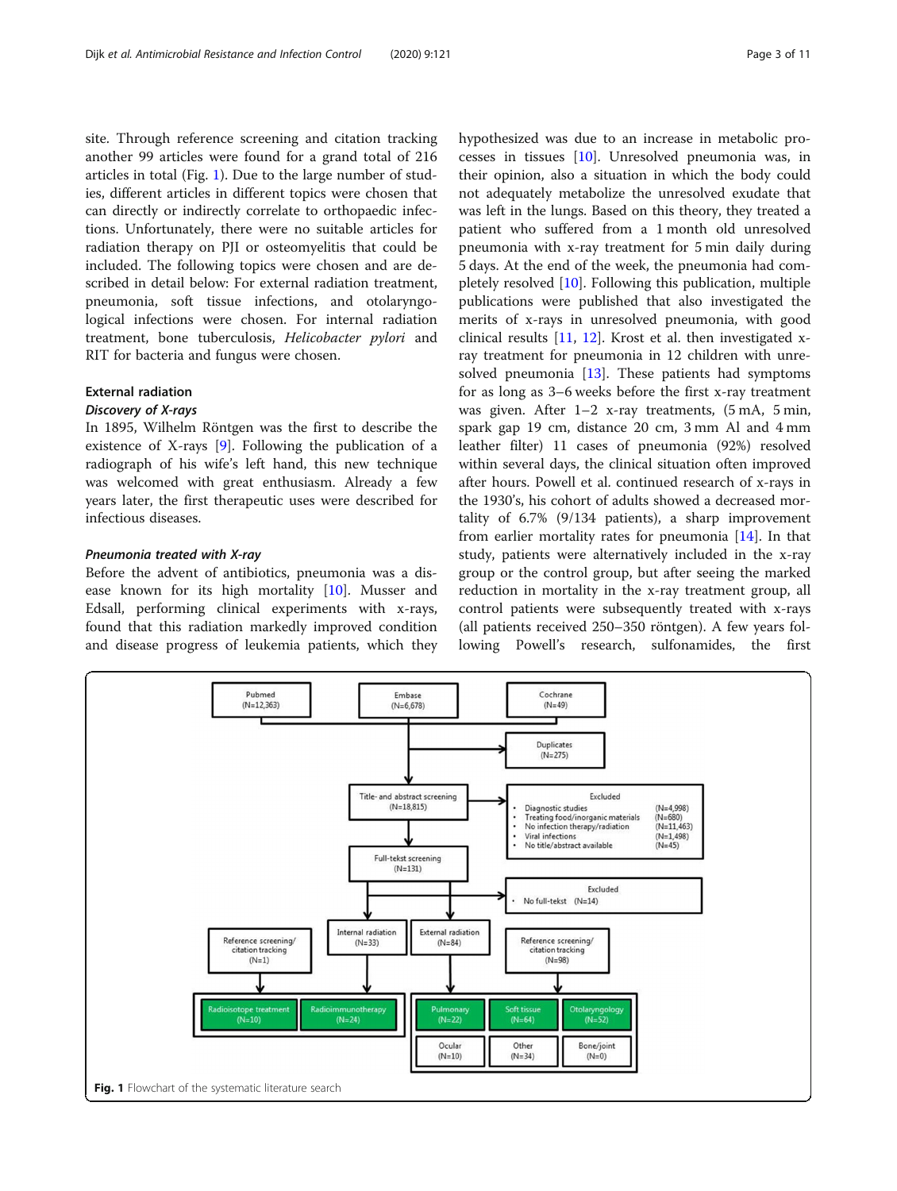site. Through reference screening and citation tracking another 99 articles were found for a grand total of 216 articles in total (Fig. 1). Due to the large number of studies, different articles in different topics were chosen that can directly or indirectly correlate to orthopaedic infections. Unfortunately, there were no suitable articles for radiation therapy on PJI or osteomyelitis that could be included. The following topics were chosen and are described in detail below: For external radiation treatment, pneumonia, soft tissue infections, and otolaryngological infections were chosen. For internal radiation treatment, bone tuberculosis, Helicobacter pylori and RIT for bacteria and fungus were chosen.

### External radiation

## Discovery of X-rays

In 1895, Wilhelm Röntgen was the first to describe the existence of X-rays [[9\]](#page-9-0). Following the publication of a radiograph of his wife's left hand, this new technique was welcomed with great enthusiasm. Already a few years later, the first therapeutic uses were described for infectious diseases.

#### Pneumonia treated with X-ray

Before the advent of antibiotics, pneumonia was a disease known for its high mortality [[10\]](#page-9-0). Musser and Edsall, performing clinical experiments with x-rays, found that this radiation markedly improved condition and disease progress of leukemia patients, which they hypothesized was due to an increase in metabolic processes in tissues [[10\]](#page-9-0). Unresolved pneumonia was, in their opinion, also a situation in which the body could not adequately metabolize the unresolved exudate that was left in the lungs. Based on this theory, they treated a patient who suffered from a 1 month old unresolved pneumonia with x-ray treatment for 5 min daily during 5 days. At the end of the week, the pneumonia had completely resolved [\[10](#page-9-0)]. Following this publication, multiple publications were published that also investigated the merits of x-rays in unresolved pneumonia, with good clinical results [[11,](#page-9-0) [12\]](#page-9-0). Krost et al. then investigated xray treatment for pneumonia in 12 children with unresolved pneumonia  $[13]$  $[13]$ . These patients had symptoms for as long as 3–6 weeks before the first x-ray treatment was given. After 1–2 x-ray treatments, (5 mA, 5 min, spark gap 19 cm, distance 20 cm, 3 mm Al and 4 mm leather filter) 11 cases of pneumonia (92%) resolved within several days, the clinical situation often improved after hours. Powell et al. continued research of x-rays in the 1930's, his cohort of adults showed a decreased mortality of 6.7% (9/134 patients), a sharp improvement from earlier mortality rates for pneumonia [[14\]](#page-9-0). In that study, patients were alternatively included in the x-ray group or the control group, but after seeing the marked reduction in mortality in the x-ray treatment group, all control patients were subsequently treated with x-rays (all patients received 250–350 röntgen). A few years following Powell's research, sulfonamides, the first

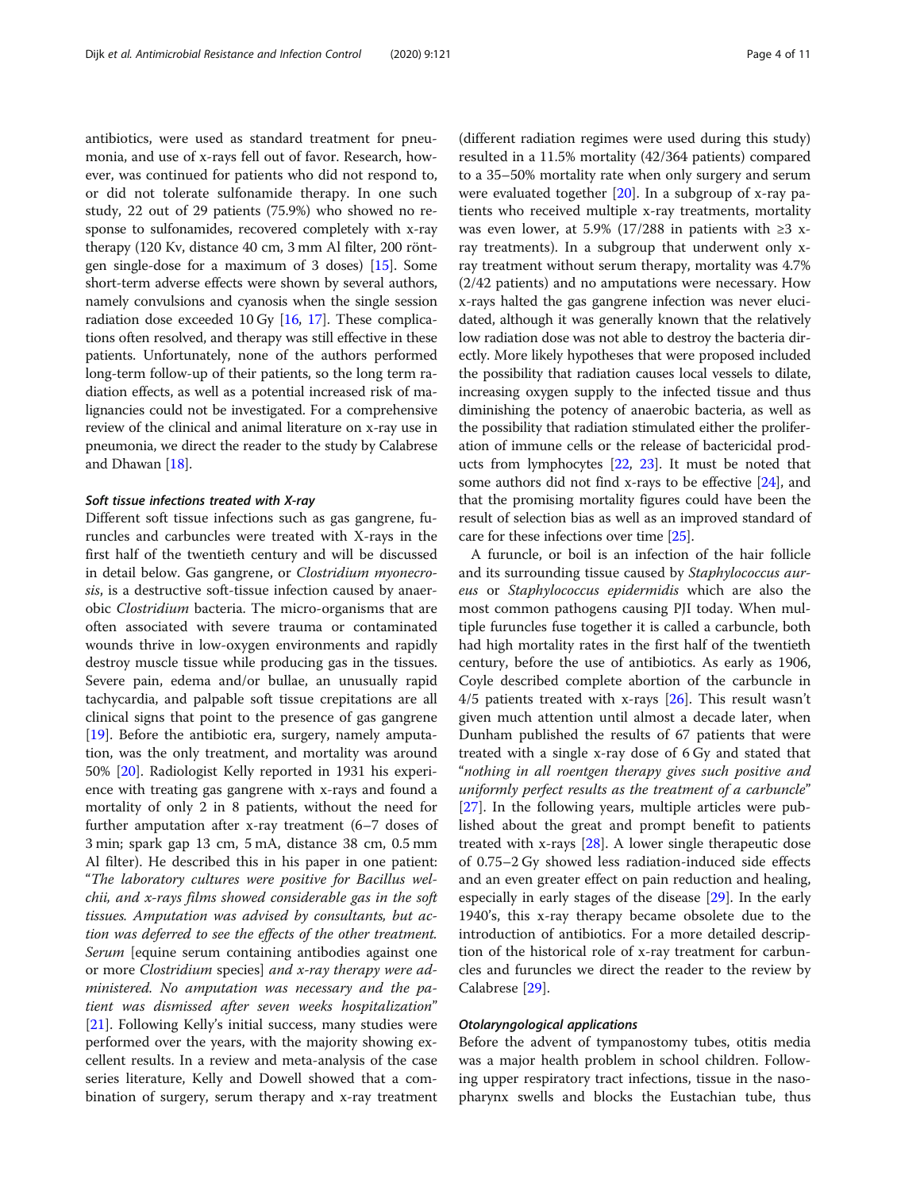antibiotics, were used as standard treatment for pneumonia, and use of x-rays fell out of favor. Research, however, was continued for patients who did not respond to, or did not tolerate sulfonamide therapy. In one such study, 22 out of 29 patients (75.9%) who showed no response to sulfonamides, recovered completely with x-ray therapy (120 Kv, distance 40 cm, 3 mm Al filter, 200 röntgen single-dose for a maximum of 3 doses) [[15](#page-9-0)]. Some short-term adverse effects were shown by several authors, namely convulsions and cyanosis when the single session radiation dose exceeded 10 Gy [[16](#page-9-0), [17\]](#page-9-0). These complications often resolved, and therapy was still effective in these patients. Unfortunately, none of the authors performed long-term follow-up of their patients, so the long term radiation effects, as well as a potential increased risk of malignancies could not be investigated. For a comprehensive review of the clinical and animal literature on x-ray use in pneumonia, we direct the reader to the study by Calabrese and Dhawan [[18](#page-9-0)].

## Soft tissue infections treated with X-ray

Different soft tissue infections such as gas gangrene, furuncles and carbuncles were treated with X-rays in the first half of the twentieth century and will be discussed in detail below. Gas gangrene, or Clostridium myonecrosis, is a destructive soft-tissue infection caused by anaerobic Clostridium bacteria. The micro-organisms that are often associated with severe trauma or contaminated wounds thrive in low-oxygen environments and rapidly destroy muscle tissue while producing gas in the tissues. Severe pain, edema and/or bullae, an unusually rapid tachycardia, and palpable soft tissue crepitations are all clinical signs that point to the presence of gas gangrene [[19\]](#page-9-0). Before the antibiotic era, surgery, namely amputation, was the only treatment, and mortality was around 50% [\[20](#page-9-0)]. Radiologist Kelly reported in 1931 his experience with treating gas gangrene with x-rays and found a mortality of only 2 in 8 patients, without the need for further amputation after x-ray treatment (6–7 doses of 3 min; spark gap 13 cm, 5 mA, distance 38 cm, 0.5 mm Al filter). He described this in his paper in one patient: "The laboratory cultures were positive for Bacillus welchii, and x-rays films showed considerable gas in the soft tissues. Amputation was advised by consultants, but action was deferred to see the effects of the other treatment. Serum [equine serum containing antibodies against one or more Clostridium species] and x-ray therapy were administered. No amputation was necessary and the patient was dismissed after seven weeks hospitalization" [[21\]](#page-9-0). Following Kelly's initial success, many studies were performed over the years, with the majority showing excellent results. In a review and meta-analysis of the case series literature, Kelly and Dowell showed that a combination of surgery, serum therapy and x-ray treatment

(different radiation regimes were used during this study) resulted in a 11.5% mortality (42/364 patients) compared to a 35–50% mortality rate when only surgery and serum were evaluated together  $[20]$  $[20]$ . In a subgroup of x-ray patients who received multiple x-ray treatments, mortality was even lower, at 5.9% (17/288 in patients with  $\geq$ 3 xray treatments). In a subgroup that underwent only xray treatment without serum therapy, mortality was 4.7% (2/42 patients) and no amputations were necessary. How x-rays halted the gas gangrene infection was never elucidated, although it was generally known that the relatively low radiation dose was not able to destroy the bacteria directly. More likely hypotheses that were proposed included the possibility that radiation causes local vessels to dilate, increasing oxygen supply to the infected tissue and thus diminishing the potency of anaerobic bacteria, as well as the possibility that radiation stimulated either the proliferation of immune cells or the release of bactericidal products from lymphocytes [\[22,](#page-9-0) [23\]](#page-9-0). It must be noted that some authors did not find x-rays to be effective [[24](#page-9-0)], and that the promising mortality figures could have been the result of selection bias as well as an improved standard of care for these infections over time [\[25\]](#page-9-0).

A furuncle, or boil is an infection of the hair follicle and its surrounding tissue caused by Staphylococcus aureus or Staphylococcus epidermidis which are also the most common pathogens causing PJI today. When multiple furuncles fuse together it is called a carbuncle, both had high mortality rates in the first half of the twentieth century, before the use of antibiotics. As early as 1906, Coyle described complete abortion of the carbuncle in 4/5 patients treated with x-rays [[26](#page-9-0)]. This result wasn't given much attention until almost a decade later, when Dunham published the results of 67 patients that were treated with a single x-ray dose of 6 Gy and stated that "nothing in all roentgen therapy gives such positive and uniformly perfect results as the treatment of a carbuncle" [[27\]](#page-9-0). In the following years, multiple articles were published about the great and prompt benefit to patients treated with x-rays [\[28\]](#page-9-0). A lower single therapeutic dose of 0.75–2 Gy showed less radiation-induced side effects and an even greater effect on pain reduction and healing, especially in early stages of the disease [[29\]](#page-9-0). In the early 1940's, this x-ray therapy became obsolete due to the introduction of antibiotics. For a more detailed description of the historical role of x-ray treatment for carbuncles and furuncles we direct the reader to the review by Calabrese [\[29\]](#page-9-0).

## Otolaryngological applications

Before the advent of tympanostomy tubes, otitis media was a major health problem in school children. Following upper respiratory tract infections, tissue in the nasopharynx swells and blocks the Eustachian tube, thus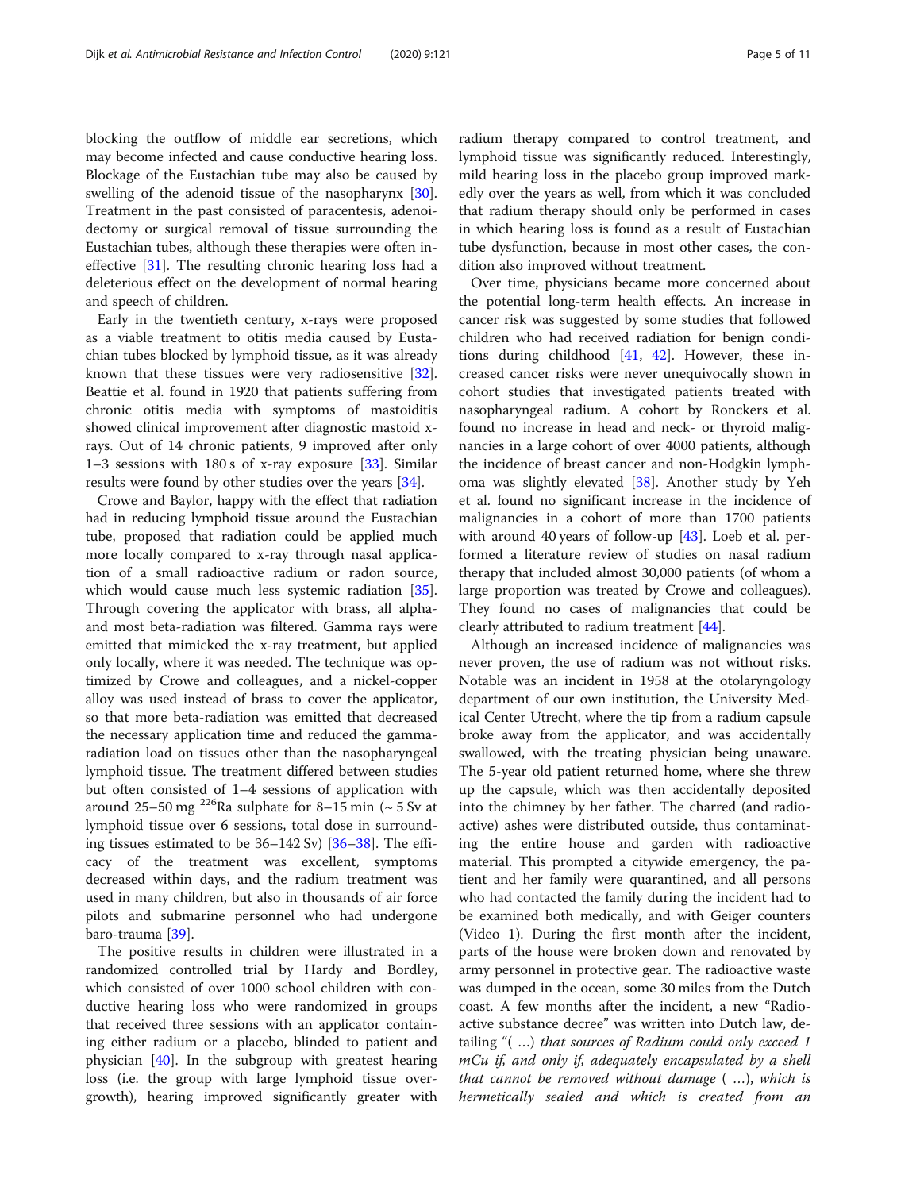blocking the outflow of middle ear secretions, which may become infected and cause conductive hearing loss. Blockage of the Eustachian tube may also be caused by swelling of the adenoid tissue of the nasopharynx  $[30]$  $[30]$ . Treatment in the past consisted of paracentesis, adenoidectomy or surgical removal of tissue surrounding the Eustachian tubes, although these therapies were often ineffective [[31](#page-9-0)]. The resulting chronic hearing loss had a deleterious effect on the development of normal hearing and speech of children.

Early in the twentieth century, x-rays were proposed as a viable treatment to otitis media caused by Eustachian tubes blocked by lymphoid tissue, as it was already known that these tissues were very radiosensitive [\[32](#page-9-0)]. Beattie et al. found in 1920 that patients suffering from chronic otitis media with symptoms of mastoiditis showed clinical improvement after diagnostic mastoid xrays. Out of 14 chronic patients, 9 improved after only 1–3 sessions with 180 s of x-ray exposure [\[33\]](#page-9-0). Similar results were found by other studies over the years [[34\]](#page-9-0).

Crowe and Baylor, happy with the effect that radiation had in reducing lymphoid tissue around the Eustachian tube, proposed that radiation could be applied much more locally compared to x-ray through nasal application of a small radioactive radium or radon source, which would cause much less systemic radiation [\[35](#page-9-0)]. Through covering the applicator with brass, all alphaand most beta-radiation was filtered. Gamma rays were emitted that mimicked the x-ray treatment, but applied only locally, where it was needed. The technique was optimized by Crowe and colleagues, and a nickel-copper alloy was used instead of brass to cover the applicator, so that more beta-radiation was emitted that decreased the necessary application time and reduced the gammaradiation load on tissues other than the nasopharyngeal lymphoid tissue. The treatment differed between studies but often consisted of 1–4 sessions of application with around 25–50 mg <sup>226</sup>Ra sulphate for 8–15 min ( $\sim$  5 Sv at lymphoid tissue over 6 sessions, total dose in surrounding tissues estimated to be 36–142 Sv) [[36](#page-9-0)–[38](#page-9-0)]. The efficacy of the treatment was excellent, symptoms decreased within days, and the radium treatment was used in many children, but also in thousands of air force pilots and submarine personnel who had undergone baro-trauma [[39\]](#page-9-0).

The positive results in children were illustrated in a randomized controlled trial by Hardy and Bordley, which consisted of over 1000 school children with conductive hearing loss who were randomized in groups that received three sessions with an applicator containing either radium or a placebo, blinded to patient and physician [\[40](#page-9-0)]. In the subgroup with greatest hearing loss (i.e. the group with large lymphoid tissue overgrowth), hearing improved significantly greater with

radium therapy compared to control treatment, and lymphoid tissue was significantly reduced. Interestingly, mild hearing loss in the placebo group improved markedly over the years as well, from which it was concluded that radium therapy should only be performed in cases in which hearing loss is found as a result of Eustachian tube dysfunction, because in most other cases, the condition also improved without treatment.

Over time, physicians became more concerned about the potential long-term health effects. An increase in cancer risk was suggested by some studies that followed children who had received radiation for benign conditions during childhood  $[41, 42]$  $[41, 42]$  $[41, 42]$  $[41, 42]$ . However, these increased cancer risks were never unequivocally shown in cohort studies that investigated patients treated with nasopharyngeal radium. A cohort by Ronckers et al. found no increase in head and neck- or thyroid malignancies in a large cohort of over 4000 patients, although the incidence of breast cancer and non-Hodgkin lymphoma was slightly elevated [\[38](#page-9-0)]. Another study by Yeh et al. found no significant increase in the incidence of malignancies in a cohort of more than 1700 patients with around 40 years of follow-up  $[43]$ . Loeb et al. performed a literature review of studies on nasal radium therapy that included almost 30,000 patients (of whom a large proportion was treated by Crowe and colleagues). They found no cases of malignancies that could be clearly attributed to radium treatment [[44\]](#page-9-0).

Although an increased incidence of malignancies was never proven, the use of radium was not without risks. Notable was an incident in 1958 at the otolaryngology department of our own institution, the University Medical Center Utrecht, where the tip from a radium capsule broke away from the applicator, and was accidentally swallowed, with the treating physician being unaware. The 5-year old patient returned home, where she threw up the capsule, which was then accidentally deposited into the chimney by her father. The charred (and radioactive) ashes were distributed outside, thus contaminating the entire house and garden with radioactive material. This prompted a citywide emergency, the patient and her family were quarantined, and all persons who had contacted the family during the incident had to be examined both medically, and with Geiger counters (Video 1). During the first month after the incident, parts of the house were broken down and renovated by army personnel in protective gear. The radioactive waste was dumped in the ocean, some 30 miles from the Dutch coast. A few months after the incident, a new "Radioactive substance decree" was written into Dutch law, detailing "( …) that sources of Radium could only exceed 1 mCu if, and only if, adequately encapsulated by a shell that cannot be removed without damage ( …), which is hermetically sealed and which is created from an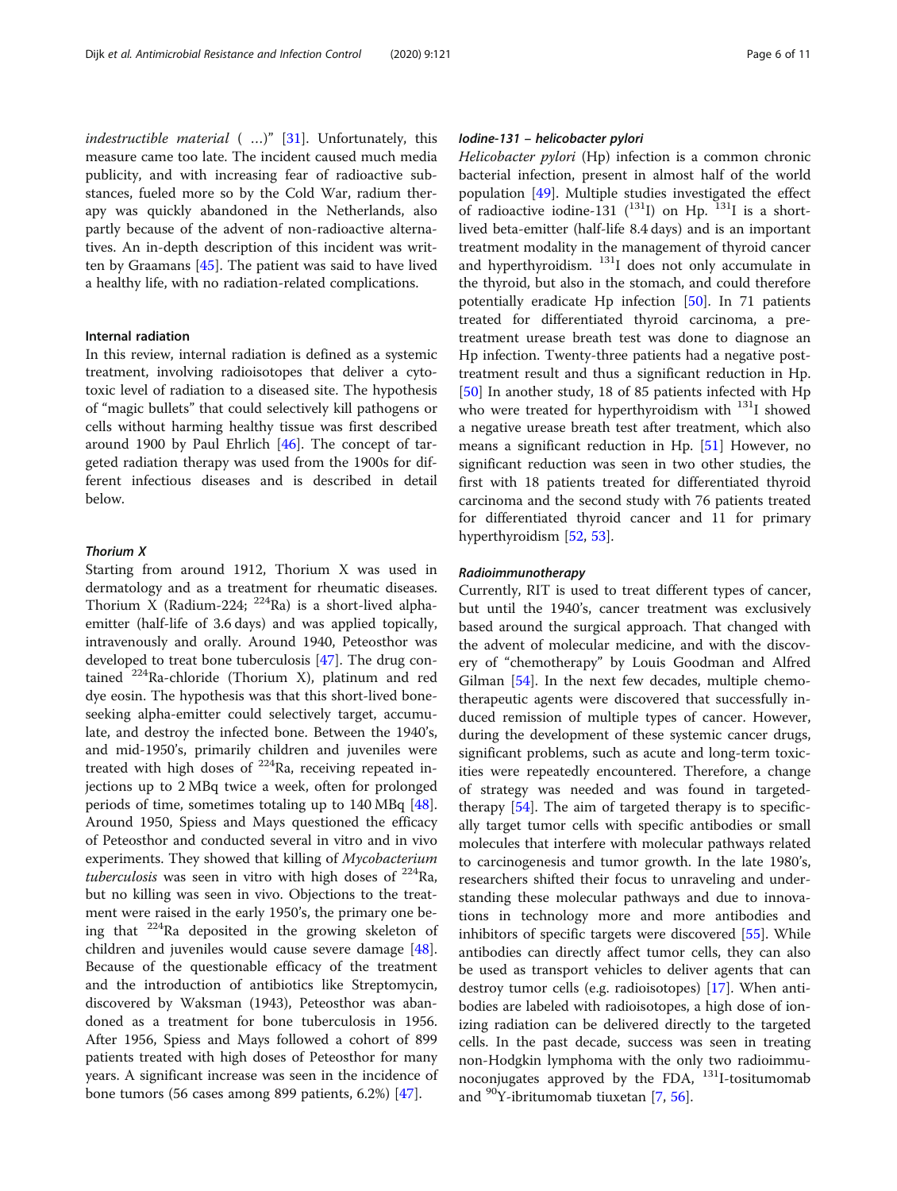indestructible material  $( ...)$ " [\[31](#page-9-0)]. Unfortunately, this measure came too late. The incident caused much media publicity, and with increasing fear of radioactive substances, fueled more so by the Cold War, radium therapy was quickly abandoned in the Netherlands, also partly because of the advent of non-radioactive alternatives. An in-depth description of this incident was written by Graamans [[45\]](#page-9-0). The patient was said to have lived a healthy life, with no radiation-related complications.

#### Internal radiation

In this review, internal radiation is defined as a systemic treatment, involving radioisotopes that deliver a cytotoxic level of radiation to a diseased site. The hypothesis of "magic bullets" that could selectively kill pathogens or cells without harming healthy tissue was first described around 1900 by Paul Ehrlich [[46\]](#page-9-0). The concept of targeted radiation therapy was used from the 1900s for different infectious diseases and is described in detail below.

## Thorium X

Starting from around 1912, Thorium X was used in dermatology and as a treatment for rheumatic diseases. Thorium X (Radium-224;  $2^{24}$ Ra) is a short-lived alphaemitter (half-life of 3.6 days) and was applied topically, intravenously and orally. Around 1940, Peteosthor was developed to treat bone tuberculosis [[47](#page-9-0)]. The drug contained  $224$ Ra-chloride (Thorium X), platinum and red dye eosin. The hypothesis was that this short-lived boneseeking alpha-emitter could selectively target, accumulate, and destroy the infected bone. Between the 1940's, and mid-1950's, primarily children and juveniles were treated with high doses of  $224$ Ra, receiving repeated injections up to 2 MBq twice a week, often for prolonged periods of time, sometimes totaling up to 140 MBq [\[48](#page-9-0)]. Around 1950, Spiess and Mays questioned the efficacy of Peteosthor and conducted several in vitro and in vivo experiments. They showed that killing of Mycobacterium tuberculosis was seen in vitro with high doses of  $224$ Ra, but no killing was seen in vivo. Objections to the treatment were raised in the early 1950's, the primary one being that  $224$ Ra deposited in the growing skeleton of children and juveniles would cause severe damage [\[48](#page-9-0)]. Because of the questionable efficacy of the treatment and the introduction of antibiotics like Streptomycin, discovered by Waksman (1943), Peteosthor was abandoned as a treatment for bone tuberculosis in 1956. After 1956, Spiess and Mays followed a cohort of 899 patients treated with high doses of Peteosthor for many years. A significant increase was seen in the incidence of bone tumors (56 cases among 899 patients, 6.2%) [\[47](#page-9-0)].

## Iodine-131 – helicobacter pylori

Helicobacter pylori (Hp) infection is a common chronic bacterial infection, present in almost half of the world population [\[49\]](#page-9-0). Multiple studies investigated the effect of radioactive iodine-131 ( $^{131}$ I) on Hp.  $^{131}$ I is a shortlived beta-emitter (half-life 8.4 days) and is an important treatment modality in the management of thyroid cancer and hyperthyroidism.  $131$  does not only accumulate in the thyroid, but also in the stomach, and could therefore potentially eradicate Hp infection [\[50\]](#page-9-0). In 71 patients treated for differentiated thyroid carcinoma, a pretreatment urease breath test was done to diagnose an Hp infection. Twenty-three patients had a negative posttreatment result and thus a significant reduction in Hp. [[50\]](#page-9-0) In another study, 18 of 85 patients infected with Hp who were treated for hyperthyroidism with <sup>131</sup>I showed a negative urease breath test after treatment, which also means a significant reduction in Hp. [[51\]](#page-9-0) However, no significant reduction was seen in two other studies, the first with 18 patients treated for differentiated thyroid carcinoma and the second study with 76 patients treated for differentiated thyroid cancer and 11 for primary hyperthyroidism [[52,](#page-9-0) [53\]](#page-9-0).

#### Radioimmunotherapy

Currently, RIT is used to treat different types of cancer, but until the 1940's, cancer treatment was exclusively based around the surgical approach. That changed with the advent of molecular medicine, and with the discovery of "chemotherapy" by Louis Goodman and Alfred Gilman [\[54](#page-9-0)]. In the next few decades, multiple chemotherapeutic agents were discovered that successfully induced remission of multiple types of cancer. However, during the development of these systemic cancer drugs, significant problems, such as acute and long-term toxicities were repeatedly encountered. Therefore, a change of strategy was needed and was found in targetedtherapy [\[54](#page-9-0)]. The aim of targeted therapy is to specifically target tumor cells with specific antibodies or small molecules that interfere with molecular pathways related to carcinogenesis and tumor growth. In the late 1980's, researchers shifted their focus to unraveling and understanding these molecular pathways and due to innovations in technology more and more antibodies and inhibitors of specific targets were discovered [\[55](#page-9-0)]. While antibodies can directly affect tumor cells, they can also be used as transport vehicles to deliver agents that can destroy tumor cells (e.g. radioisotopes) [\[17](#page-9-0)]. When antibodies are labeled with radioisotopes, a high dose of ionizing radiation can be delivered directly to the targeted cells. In the past decade, success was seen in treating non-Hodgkin lymphoma with the only two radioimmunoconjugates approved by the FDA,  $^{131}$ I-tositumomab and  $^{90}Y$ -ibritumomab tiuxetan [\[7](#page-9-0), [56](#page-9-0)].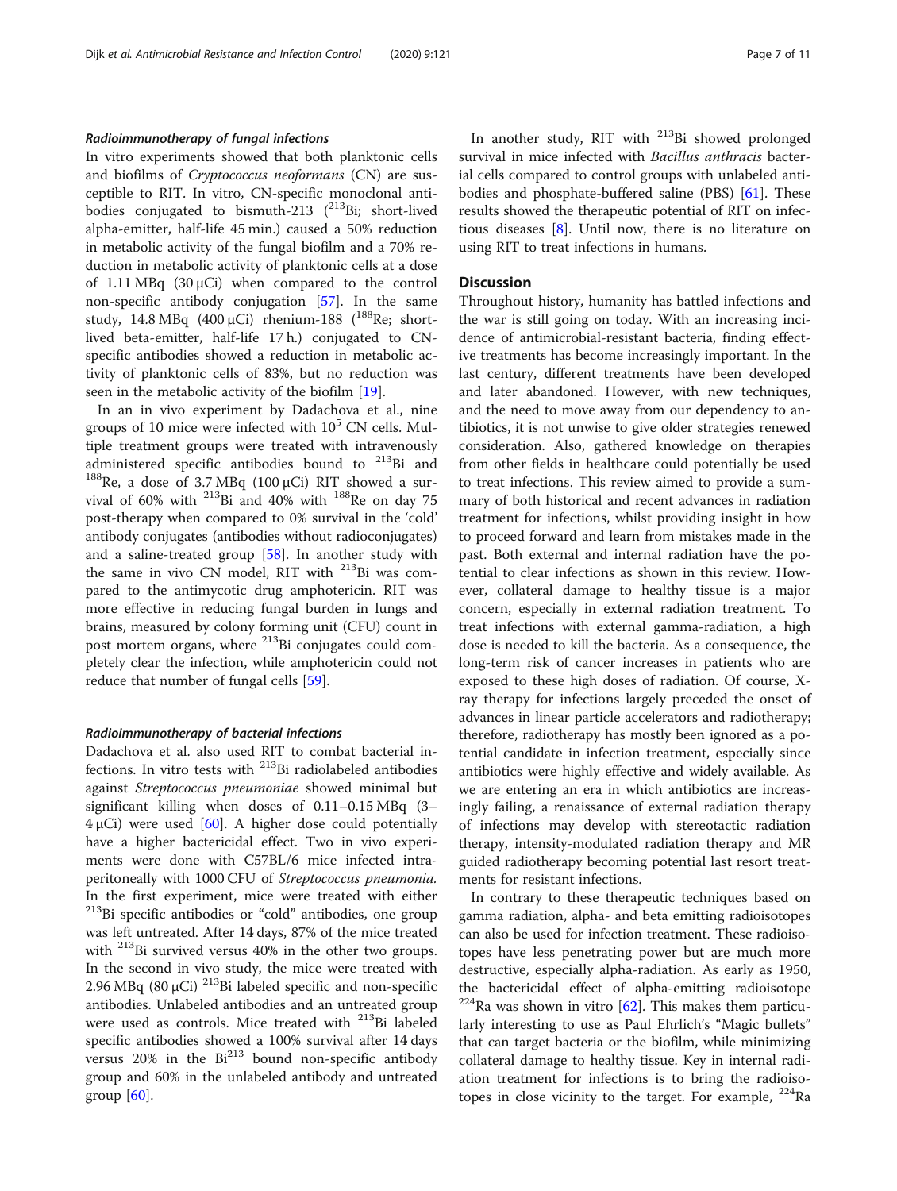## Radioimmunotherapy of fungal infections

In vitro experiments showed that both planktonic cells and biofilms of Cryptococcus neoformans (CN) are susceptible to RIT. In vitro, CN-specific monoclonal antibodies conjugated to bismuth-213  $(^{213}$ Bi; short-lived alpha-emitter, half-life 45 min.) caused a 50% reduction in metabolic activity of the fungal biofilm and a 70% reduction in metabolic activity of planktonic cells at a dose of 1.11 MBq (30 μCi) when compared to the control non-specific antibody conjugation [\[57\]](#page-9-0). In the same study, 14.8 MBq  $(400 \mu\text{Ci})$  rhenium-188  $(^{188}\text{Re})$ ; shortlived beta-emitter, half-life 17 h.) conjugated to CNspecific antibodies showed a reduction in metabolic activity of planktonic cells of 83%, but no reduction was seen in the metabolic activity of the biofilm [\[19\]](#page-9-0).

In an in vivo experiment by Dadachova et al., nine groups of 10 mice were infected with  $10^5$  CN cells. Multiple treatment groups were treated with intravenously administered specific antibodies bound to <sup>213</sup>Bi and <sup>188</sup>Re, a dose of 3.7 MBq (100 μCi) RIT showed a survival of 60% with  $^{213}$ Bi and 40% with  $^{188}$ Re on day 75 post-therapy when compared to 0% survival in the 'cold' antibody conjugates (antibodies without radioconjugates) and a saline-treated group [[58\]](#page-10-0). In another study with the same in vivo CN model, RIT with  $^{213}$ Bi was compared to the antimycotic drug amphotericin. RIT was more effective in reducing fungal burden in lungs and brains, measured by colony forming unit (CFU) count in post mortem organs, where  $^{213}$ Bi conjugates could completely clear the infection, while amphotericin could not reduce that number of fungal cells [[59\]](#page-10-0).

#### Radioimmunotherapy of bacterial infections

Dadachova et al. also used RIT to combat bacterial infections. In vitro tests with <sup>213</sup>Bi radiolabeled antibodies against Streptococcus pneumoniae showed minimal but significant killing when doses of 0.11–0.15 MBq (3–  $4 \mu$ Ci) were used [[60\]](#page-10-0). A higher dose could potentially have a higher bactericidal effect. Two in vivo experiments were done with C57BL/6 mice infected intraperitoneally with 1000 CFU of Streptococcus pneumonia. In the first experiment, mice were treated with either 213Bi specific antibodies or "cold" antibodies, one group was left untreated. After 14 days, 87% of the mice treated with  $^{213}$ Bi survived versus 40% in the other two groups. In the second in vivo study, the mice were treated with 2.96 MBq (80  $\mu$ Ci)<sup>213</sup>Bi labeled specific and non-specific antibodies. Unlabeled antibodies and an untreated group were used as controls. Mice treated with <sup>213</sup>Bi labeled specific antibodies showed a 100% survival after 14 days versus  $20\%$  in the  $Bi^{213}$  bound non-specific antibody group and 60% in the unlabeled antibody and untreated group  $[60]$  $[60]$ .

In another study, RIT with <sup>213</sup>Bi showed prolonged survival in mice infected with Bacillus anthracis bacterial cells compared to control groups with unlabeled antibodies and phosphate-buffered saline (PBS) [[61\]](#page-10-0). These results showed the therapeutic potential of RIT on infectious diseases [[8](#page-9-0)]. Until now, there is no literature on using RIT to treat infections in humans.

#### **Discussion**

Throughout history, humanity has battled infections and the war is still going on today. With an increasing incidence of antimicrobial-resistant bacteria, finding effective treatments has become increasingly important. In the last century, different treatments have been developed and later abandoned. However, with new techniques, and the need to move away from our dependency to antibiotics, it is not unwise to give older strategies renewed consideration. Also, gathered knowledge on therapies from other fields in healthcare could potentially be used to treat infections. This review aimed to provide a summary of both historical and recent advances in radiation treatment for infections, whilst providing insight in how to proceed forward and learn from mistakes made in the past. Both external and internal radiation have the potential to clear infections as shown in this review. However, collateral damage to healthy tissue is a major concern, especially in external radiation treatment. To treat infections with external gamma-radiation, a high dose is needed to kill the bacteria. As a consequence, the long-term risk of cancer increases in patients who are exposed to these high doses of radiation. Of course, Xray therapy for infections largely preceded the onset of advances in linear particle accelerators and radiotherapy; therefore, radiotherapy has mostly been ignored as a potential candidate in infection treatment, especially since antibiotics were highly effective and widely available. As we are entering an era in which antibiotics are increasingly failing, a renaissance of external radiation therapy of infections may develop with stereotactic radiation therapy, intensity-modulated radiation therapy and MR guided radiotherapy becoming potential last resort treatments for resistant infections.

In contrary to these therapeutic techniques based on gamma radiation, alpha- and beta emitting radioisotopes can also be used for infection treatment. These radioisotopes have less penetrating power but are much more destructive, especially alpha-radiation. As early as 1950, the bactericidal effect of alpha-emitting radioisotope  $224$ Ra was shown in vitro [[62](#page-10-0)]. This makes them particularly interesting to use as Paul Ehrlich's "Magic bullets" that can target bacteria or the biofilm, while minimizing collateral damage to healthy tissue. Key in internal radiation treatment for infections is to bring the radioisotopes in close vicinity to the target. For example,  $224$ Ra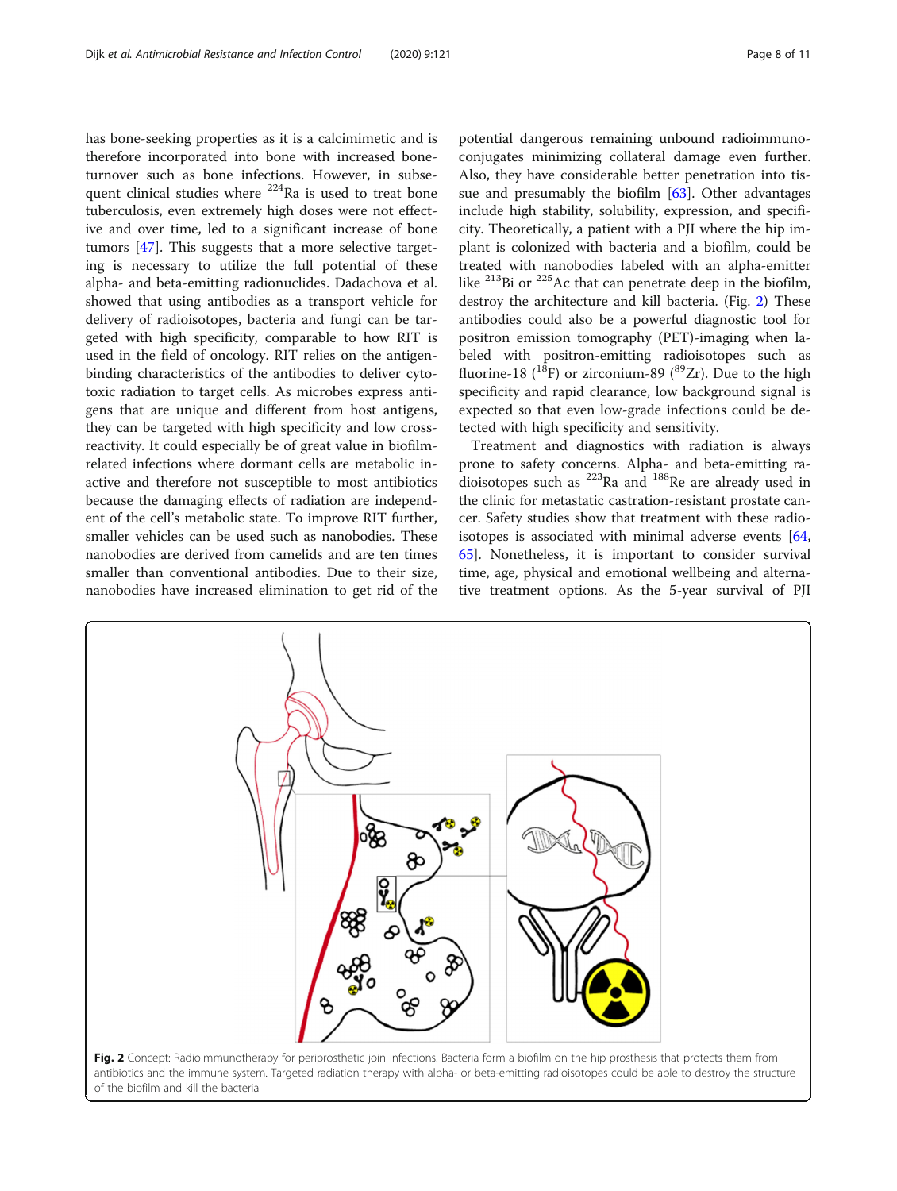has bone-seeking properties as it is a calcimimetic and is therefore incorporated into bone with increased boneturnover such as bone infections. However, in subsequent clinical studies where <sup>224</sup>Ra is used to treat bone tuberculosis, even extremely high doses were not effective and over time, led to a significant increase of bone tumors [\[47\]](#page-9-0). This suggests that a more selective targeting is necessary to utilize the full potential of these alpha- and beta-emitting radionuclides. Dadachova et al. showed that using antibodies as a transport vehicle for delivery of radioisotopes, bacteria and fungi can be targeted with high specificity, comparable to how RIT is used in the field of oncology. RIT relies on the antigenbinding characteristics of the antibodies to deliver cytotoxic radiation to target cells. As microbes express antigens that are unique and different from host antigens, they can be targeted with high specificity and low crossreactivity. It could especially be of great value in biofilmrelated infections where dormant cells are metabolic inactive and therefore not susceptible to most antibiotics because the damaging effects of radiation are independent of the cell's metabolic state. To improve RIT further, smaller vehicles can be used such as nanobodies. These nanobodies are derived from camelids and are ten times smaller than conventional antibodies. Due to their size, nanobodies have increased elimination to get rid of the potential dangerous remaining unbound radioimmunoconjugates minimizing collateral damage even further. Also, they have considerable better penetration into tissue and presumably the biofilm  $[63]$  $[63]$ . Other advantages include high stability, solubility, expression, and specificity. Theoretically, a patient with a PJI where the hip implant is colonized with bacteria and a biofilm, could be treated with nanobodies labeled with an alpha-emitter like  $^{213}$ Bi or  $^{225}$ Ac that can penetrate deep in the biofilm, destroy the architecture and kill bacteria. (Fig. 2) These antibodies could also be a powerful diagnostic tool for positron emission tomography (PET)-imaging when labeled with positron-emitting radioisotopes such as fluorine-18 ( $18$ F) or zirconium-89 ( $89$ Zr). Due to the high specificity and rapid clearance, low background signal is expected so that even low-grade infections could be detected with high specificity and sensitivity.

Treatment and diagnostics with radiation is always prone to safety concerns. Alpha- and beta-emitting radioisotopes such as 223Ra and 188Re are already used in the clinic for metastatic castration-resistant prostate cancer. Safety studies show that treatment with these radioisotopes is associated with minimal adverse events [[64](#page-10-0), [65\]](#page-10-0). Nonetheless, it is important to consider survival time, age, physical and emotional wellbeing and alternative treatment options. As the 5-year survival of PJI



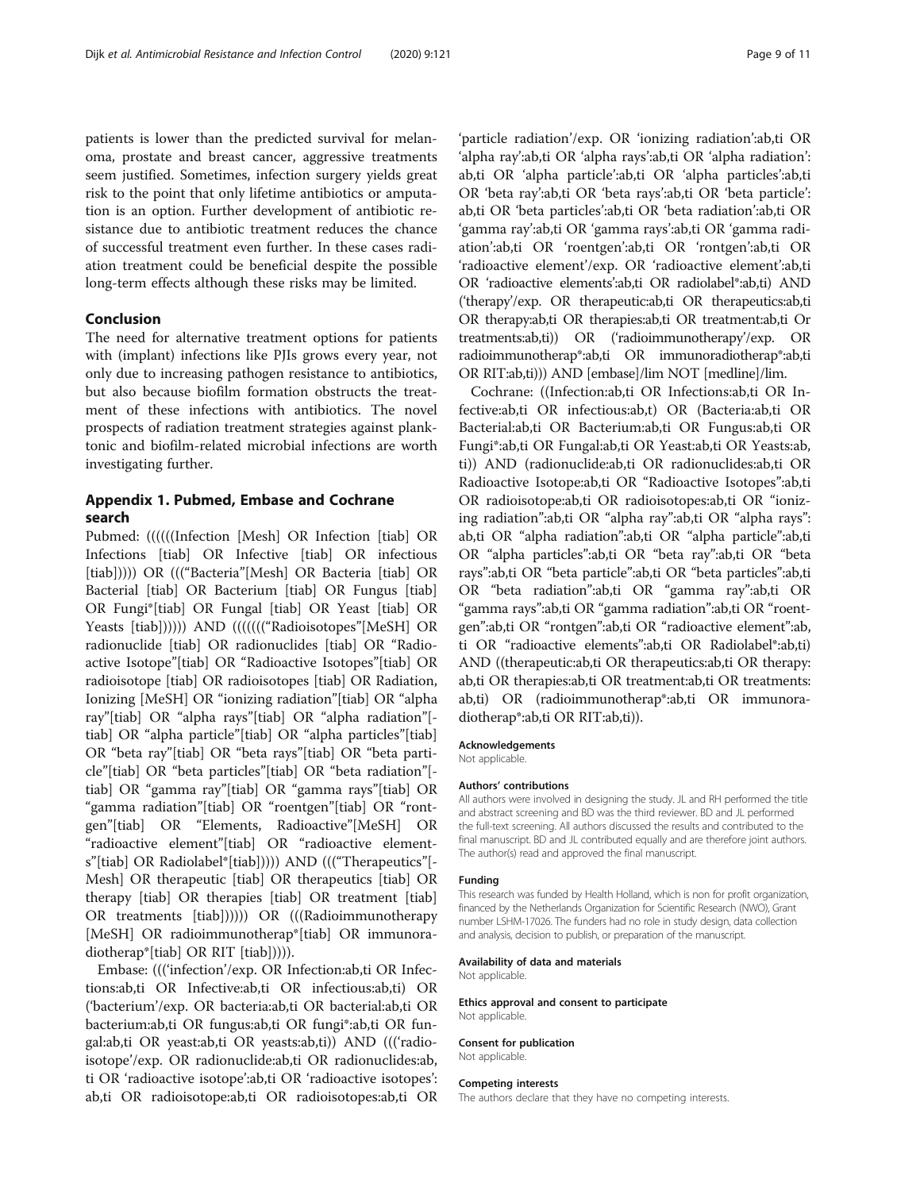patients is lower than the predicted survival for melanoma, prostate and breast cancer, aggressive treatments seem justified. Sometimes, infection surgery yields great risk to the point that only lifetime antibiotics or amputation is an option. Further development of antibiotic resistance due to antibiotic treatment reduces the chance of successful treatment even further. In these cases radiation treatment could be beneficial despite the possible long-term effects although these risks may be limited.

## Conclusion

The need for alternative treatment options for patients with (implant) infections like PJIs grows every year, not only due to increasing pathogen resistance to antibiotics, but also because biofilm formation obstructs the treatment of these infections with antibiotics. The novel prospects of radiation treatment strategies against planktonic and biofilm-related microbial infections are worth investigating further.

## Appendix 1. Pubmed, Embase and Cochrane search

Pubmed: ((((((Infection [Mesh] OR Infection [tiab] OR Infections [tiab] OR Infective [tiab] OR infectious [tiab])))) OR ((("Bacteria"[Mesh] OR Bacteria [tiab] OR Bacterial [tiab] OR Bacterium [tiab] OR Fungus [tiab] OR Fungi\*[tiab] OR Fungal [tiab] OR Yeast [tiab] OR Yeasts [tiab]))))) AND (((((("Radioisotopes"[MeSH] OR radionuclide [tiab] OR radionuclides [tiab] OR "Radioactive Isotope"[tiab] OR "Radioactive Isotopes"[tiab] OR radioisotope [tiab] OR radioisotopes [tiab] OR Radiation, Ionizing [MeSH] OR "ionizing radiation"[tiab] OR "alpha ray"[tiab] OR "alpha rays"[tiab] OR "alpha radiation"[ tiab] OR "alpha particle"[tiab] OR "alpha particles"[tiab] OR "beta ray"[tiab] OR "beta rays"[tiab] OR "beta particle"[tiab] OR "beta particles"[tiab] OR "beta radiation"[ tiab] OR "gamma ray"[tiab] OR "gamma rays"[tiab] OR "gamma radiation"[tiab] OR "roentgen"[tiab] OR "rontgen"[tiab] OR "Elements, Radioactive"[MeSH] OR "radioactive element"[tiab] OR "radioactive elements"[tiab] OR Radiolabel\*[tiab])))) AND ((("Therapeutics"[- Mesh] OR therapeutic [tiab] OR therapeutics [tiab] OR therapy [tiab] OR therapies [tiab] OR treatment [tiab] OR treatments [tiab]))))) OR (((Radioimmunotherapy [MeSH] OR radioimmunotherap<sup>\*</sup>[tiab] OR immunoradiotherap\*[tiab] OR RIT [tiab])))).

Embase: ((('infection'/exp. OR Infection:ab,ti OR Infections:ab,ti OR Infective:ab,ti OR infectious:ab,ti) OR ('bacterium'/exp. OR bacteria:ab,ti OR bacterial:ab,ti OR bacterium:ab,ti OR fungus:ab,ti OR fungi\*:ab,ti OR fungal:ab,ti OR yeast:ab,ti OR yeasts:ab,ti)) AND ((('radioisotope'/exp. OR radionuclide:ab,ti OR radionuclides:ab, ti OR 'radioactive isotope':ab,ti OR 'radioactive isotopes': ab,ti OR radioisotope:ab,ti OR radioisotopes:ab,ti OR

'particle radiation'/exp. OR 'ionizing radiation':ab,ti OR 'alpha ray':ab,ti OR 'alpha rays':ab,ti OR 'alpha radiation': ab,ti OR 'alpha particle':ab,ti OR 'alpha particles':ab,ti OR 'beta ray':ab,ti OR 'beta rays':ab,ti OR 'beta particle': ab,ti OR 'beta particles':ab,ti OR 'beta radiation':ab,ti OR 'gamma ray':ab,ti OR 'gamma rays':ab,ti OR 'gamma radiation':ab,ti OR 'roentgen':ab,ti OR 'rontgen':ab,ti OR 'radioactive element'/exp. OR 'radioactive element':ab,ti OR 'radioactive elements':ab,ti OR radiolabel\*:ab,ti) AND ('therapy'/exp. OR therapeutic:ab,ti OR therapeutics:ab,ti OR therapy:ab,ti OR therapies:ab,ti OR treatment:ab,ti Or treatments:ab,ti)) OR ('radioimmunotherapy'/exp. OR radioimmunotherap\*:ab,ti OR immunoradiotherap\*:ab,ti OR RIT:ab,ti))) AND [embase]/lim NOT [medline]/lim.

Cochrane: ((Infection:ab,ti OR Infections:ab,ti OR Infective:ab,ti OR infectious:ab,t) OR (Bacteria:ab,ti OR Bacterial:ab,ti OR Bacterium:ab,ti OR Fungus:ab,ti OR Fungi\*:ab,ti OR Fungal:ab,ti OR Yeast:ab,ti OR Yeasts:ab, ti)) AND (radionuclide:ab,ti OR radionuclides:ab,ti OR Radioactive Isotope:ab,ti OR "Radioactive Isotopes":ab,ti OR radioisotope:ab,ti OR radioisotopes:ab,ti OR "ionizing radiation":ab,ti OR "alpha ray":ab,ti OR "alpha rays": ab,ti OR "alpha radiation":ab,ti OR "alpha particle":ab,ti OR "alpha particles":ab,ti OR "beta ray":ab,ti OR "beta rays":ab,ti OR "beta particle":ab,ti OR "beta particles":ab,ti OR "beta radiation":ab,ti OR "gamma ray":ab,ti OR "gamma rays":ab,ti OR "gamma radiation":ab,ti OR "roentgen":ab,ti OR "rontgen":ab,ti OR "radioactive element":ab, ti OR "radioactive elements":ab,ti OR Radiolabel\*:ab,ti) AND ((therapeutic:ab,ti OR therapeutics:ab,ti OR therapy: ab,ti OR therapies:ab,ti OR treatment:ab,ti OR treatments: ab,ti) OR (radioimmunotherap\*:ab,ti OR immunoradiotherap\*:ab,ti OR RIT:ab,ti)).

#### Acknowledgements

Not applicable.

#### Authors' contributions

All authors were involved in designing the study. JL and RH performed the title and abstract screening and BD was the third reviewer. BD and JL performed the full-text screening. All authors discussed the results and contributed to the final manuscript. BD and JL contributed equally and are therefore joint authors. The author(s) read and approved the final manuscript.

#### Funding

This research was funded by Health Holland, which is non for profit organization, financed by the Netherlands Organization for Scientific Research (NWO), Grant number LSHM-17026. The funders had no role in study design, data collection and analysis, decision to publish, or preparation of the manuscript.

#### Availability of data and materials

Not applicable.

#### Ethics approval and consent to participate Not applicable.

#### Consent for publication Not applicable.

Competing interests

The authors declare that they have no competing interests.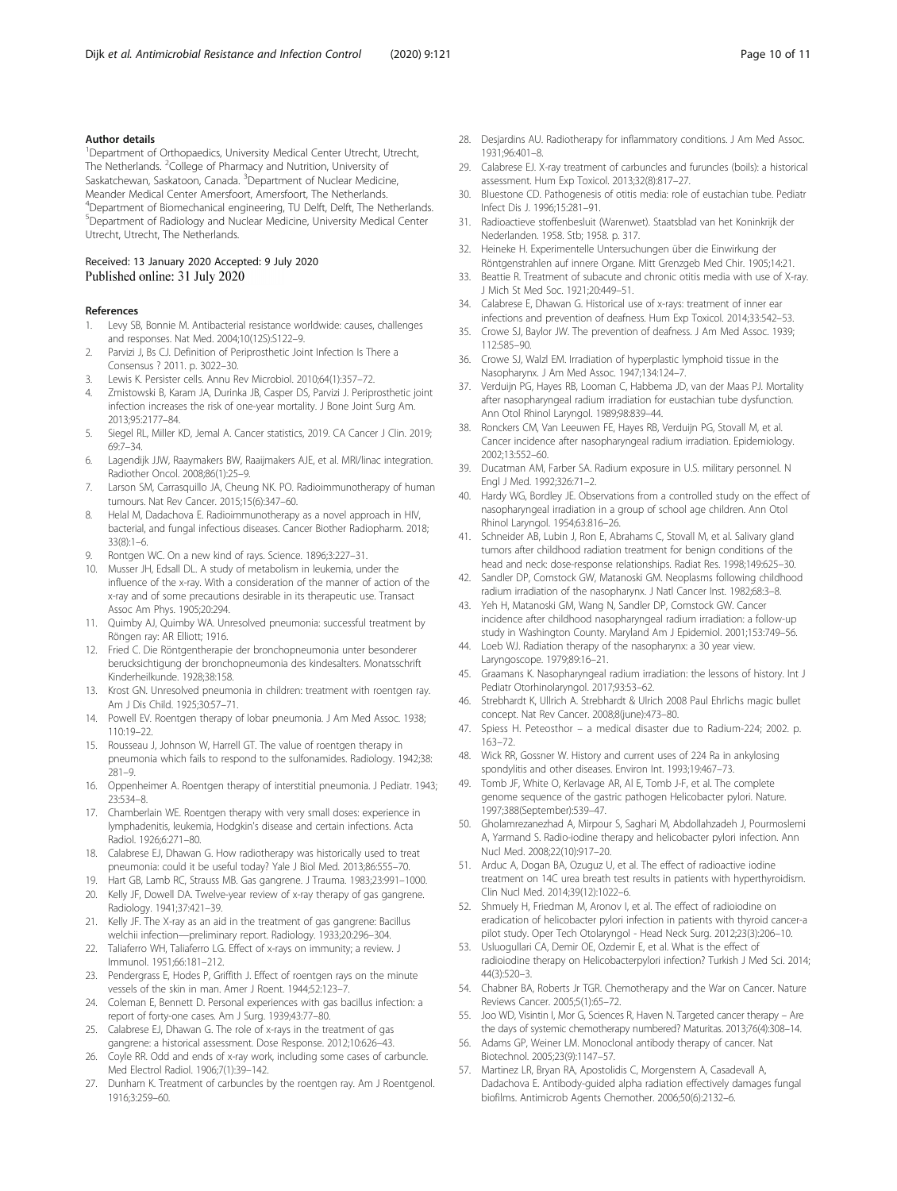#### <span id="page-9-0"></span>Author details

<sup>1</sup>Department of Orthopaedics, University Medical Center Utrecht, Utrecht, The Netherlands. <sup>2</sup>College of Pharmacy and Nutrition, University of Saskatchewan, Saskatoon, Canada. <sup>3</sup>Department of Nuclear Medicine, Meander Medical Center Amersfoort, Amersfoort, The Netherlands. <sup>4</sup>Department of Biomechanical engineering, TU Delft, Delft, The Netherlands. 5 Department of Radiology and Nuclear Medicine, University Medical Center Utrecht, Utrecht, The Netherlands.

#### Received: 13 January 2020 Accepted: 9 July 2020 Published online: 31 July 2020

#### References

- 1. Levy SB, Bonnie M. Antibacterial resistance worldwide: causes, challenges and responses. Nat Med. 2004;10(12S):S122–9.
- 2. Parvizi J, Bs CJ. Definition of Periprosthetic Joint Infection Is There a Consensus ? 2011. p. 3022–30.
- 3. Lewis K. Persister cells. Annu Rev Microbiol. 2010;64(1):357–72.
- Zmistowski B, Karam JA, Durinka JB, Casper DS, Parvizi J. Periprosthetic joint infection increases the risk of one-year mortality. J Bone Joint Surg Am. 2013;95:2177–84.
- 5. Siegel RL, Miller KD, Jemal A. Cancer statistics, 2019. CA Cancer J Clin. 2019; 69:7–34.
- 6. Lagendijk JJW, Raaymakers BW, Raaijmakers AJE, et al. MRI/linac integration. Radiother Oncol. 2008;86(1):25–9.
- 7. Larson SM, Carrasquillo JA, Cheung NK. PO. Radioimmunotherapy of human tumours. Nat Rev Cancer. 2015;15(6):347–60.
- 8. Helal M, Dadachova E. Radioimmunotherapy as a novel approach in HIV, bacterial, and fungal infectious diseases. Cancer Biother Radiopharm. 2018; 33(8):1–6.
- 9. Rontgen WC. On a new kind of rays. Science. 1896;3:227–31.
- 10. Musser JH, Edsall DL. A study of metabolism in leukemia, under the influence of the x-ray. With a consideration of the manner of action of the x-ray and of some precautions desirable in its therapeutic use. Transact Assoc Am Phys. 1905;20:294.
- 11. Quimby AJ, Quimby WA. Unresolved pneumonia: successful treatment by Röngen ray: AR Elliott; 1916.
- 12. Fried C. Die Röntgentherapie der bronchopneumonia unter besonderer berucksichtigung der bronchopneumonia des kindesalters. Monatsschrift Kinderheilkunde. 1928;38:158.
- 13. Krost GN. Unresolved pneumonia in children: treatment with roentgen ray. Am J Dis Child. 1925;30:57–71.
- 14. Powell EV. Roentgen therapy of lobar pneumonia. J Am Med Assoc. 1938; 110:19–22.
- 15. Rousseau J, Johnson W, Harrell GT. The value of roentgen therapy in pneumonia which fails to respond to the sulfonamides. Radiology. 1942;38: 281–9.
- 16. Oppenheimer A. Roentgen therapy of interstitial pneumonia. J Pediatr. 1943; 23:534–8.
- 17. Chamberlain WE. Roentgen therapy with very small doses: experience in lymphadenitis, leukemia, Hodgkin's disease and certain infections. Acta Radiol. 1926;6:271–80.
- 18. Calabrese EJ, Dhawan G. How radiotherapy was historically used to treat pneumonia: could it be useful today? Yale J Biol Med. 2013;86:555–70.
- 19. Hart GB, Lamb RC, Strauss MB. Gas gangrene. J Trauma. 1983;23:991–1000.
- 20. Kelly JF, Dowell DA. Twelve-year review of x-ray therapy of gas gangrene. Radiology. 1941;37:421–39.
- 21. Kelly JF. The X-ray as an aid in the treatment of gas gangrene: Bacillus welchii infection—preliminary report. Radiology. 1933;20:296–304.
- 22. Taliaferro WH, Taliaferro LG. Effect of x-rays on immunity; a review. J Immunol. 1951;66:181–212.
- Pendergrass E, Hodes P, Griffith J. Effect of roentgen rays on the minute vessels of the skin in man. Amer J Roent. 1944;52:123–7.
- 24. Coleman E, Bennett D. Personal experiences with gas bacillus infection: a report of forty-one cases. Am J Surg. 1939;43:77–80.
- 25. Calabrese EJ, Dhawan G. The role of x-rays in the treatment of gas gangrene: a historical assessment. Dose Response. 2012;10:626–43.
- 26. Coyle RR. Odd and ends of x-ray work, including some cases of carbuncle. Med Electrol Radiol. 1906;7(1):39–142.
- 27. Dunham K. Treatment of carbuncles by the roentgen ray. Am J Roentgenol. 1916;3:259–60.
- 28. Desjardins AU. Radiotherapy for inflammatory conditions. J Am Med Assoc. 1931;96:401–8.
- 29. Calabrese EJ. X-ray treatment of carbuncles and furuncles (boils): a historical assessment. Hum Exp Toxicol. 2013;32(8):817–27.
- 30. Bluestone CD. Pathogenesis of otitis media: role of eustachian tube. Pediatr Infect Dis J. 1996;15:281–91.
- 31. Radioactieve stoffenbesluit (Warenwet). Staatsblad van het Koninkrijk der Nederlanden. 1958. Stb; 1958. p. 317.
- 32. Heineke H. Experimentelle Untersuchungen über die Einwirkung der Röntgenstrahlen auf innere Organe. Mitt Grenzgeb Med Chir. 1905;14:21.
- 33. Beattie R. Treatment of subacute and chronic otitis media with use of X-ray. J Mich St Med Soc. 1921;20:449–51.
- 34. Calabrese E, Dhawan G. Historical use of x-rays: treatment of inner ear infections and prevention of deafness. Hum Exp Toxicol. 2014;33:542–53.
- 35. Crowe SJ, Baylor JW. The prevention of deafness. J Am Med Assoc. 1939; 112:585–90.
- 36. Crowe SJ, Walzl EM. Irradiation of hyperplastic lymphoid tissue in the Nasopharynx. J Am Med Assoc. 1947;134:124–7.
- 37. Verduijn PG, Hayes RB, Looman C, Habbema JD, van der Maas PJ. Mortality after nasopharyngeal radium irradiation for eustachian tube dysfunction. Ann Otol Rhinol Laryngol. 1989;98:839–44.
- 38. Ronckers CM, Van Leeuwen FE, Hayes RB, Verduijn PG, Stovall M, et al. Cancer incidence after nasopharyngeal radium irradiation. Epidemiology. 2002;13:552–60.
- 39. Ducatman AM, Farber SA. Radium exposure in U.S. military personnel. N Engl J Med. 1992;326:71–2.
- 40. Hardy WG, Bordley JE. Observations from a controlled study on the effect of nasopharyngeal irradiation in a group of school age children. Ann Otol Rhinol Laryngol. 1954;63:816–26.
- 41. Schneider AB, Lubin J, Ron E, Abrahams C, Stovall M, et al. Salivary gland tumors after childhood radiation treatment for benign conditions of the head and neck: dose-response relationships. Radiat Res. 1998;149:625–30.
- 42. Sandler DP, Comstock GW, Matanoski GM. Neoplasms following childhood radium irradiation of the nasopharynx. J Natl Cancer Inst. 1982;68:3–8.
- 43. Yeh H, Matanoski GM, Wang N, Sandler DP, Comstock GW. Cancer incidence after childhood nasopharyngeal radium irradiation: a follow-up study in Washington County. Maryland Am J Epidemiol. 2001;153:749–56.
- 44. Loeb WJ. Radiation therapy of the nasopharynx: a 30 year view. Laryngoscope. 1979;89:16–21.
- 45. Graamans K. Nasopharyngeal radium irradiation: the lessons of history. Int J Pediatr Otorhinolaryngol. 2017;93:53–62.
- 46. Strebhardt K, Ullrich A. Strebhardt & Ulrich 2008 Paul Ehrlichs magic bullet concept. Nat Rev Cancer. 2008;8(june):473–80.
- 47. Spiess H. Peteosthor a medical disaster due to Radium-224; 2002. p. 163–72.
- 48. Wick RR, Gossner W. History and current uses of 224 Ra in ankylosing spondylitis and other diseases. Environ Int. 1993;19:467–73.
- 49. Tomb JF, White O, Kerlavage AR, Al E, Tomb J-F, et al. The complete genome sequence of the gastric pathogen Helicobacter pylori. Nature. 1997;388(September):539–47.
- 50. Gholamrezanezhad A, Mirpour S, Saghari M, Abdollahzadeh J, Pourmoslemi A, Yarmand S. Radio-iodine therapy and helicobacter pylori infection. Ann Nucl Med. 2008;22(10):917–20.
- 51. Arduc A, Dogan BA, Ozuguz U, et al. The effect of radioactive iodine treatment on 14C urea breath test results in patients with hyperthyroidism. Clin Nucl Med. 2014;39(12):1022–6.
- 52. Shmuely H, Friedman M, Aronov I, et al. The effect of radioiodine on eradication of helicobacter pylori infection in patients with thyroid cancer-a pilot study. Oper Tech Otolaryngol - Head Neck Surg. 2012;23(3):206–10.
- 53. Usluogullari CA, Demir OE, Ozdemir E, et al. What is the effect of radioiodine therapy on Helicobacterpylori infection? Turkish J Med Sci. 2014; 44(3):520–3.
- 54. Chabner BA, Roberts Jr TGR. Chemotherapy and the War on Cancer. Nature Reviews Cancer. 2005;5(1):65–72.
- 55. Joo WD, Visintin I, Mor G, Sciences R, Haven N. Targeted cancer therapy Are the days of systemic chemotherapy numbered? Maturitas. 2013;76(4):308–14.
- 56. Adams GP, Weiner LM. Monoclonal antibody therapy of cancer. Nat Biotechnol. 2005;23(9):1147–57.
- 57. Martinez LR, Bryan RA, Apostolidis C, Morgenstern A, Casadevall A, Dadachova E. Antibody-guided alpha radiation effectively damages fungal biofilms. Antimicrob Agents Chemother. 2006;50(6):2132–6.